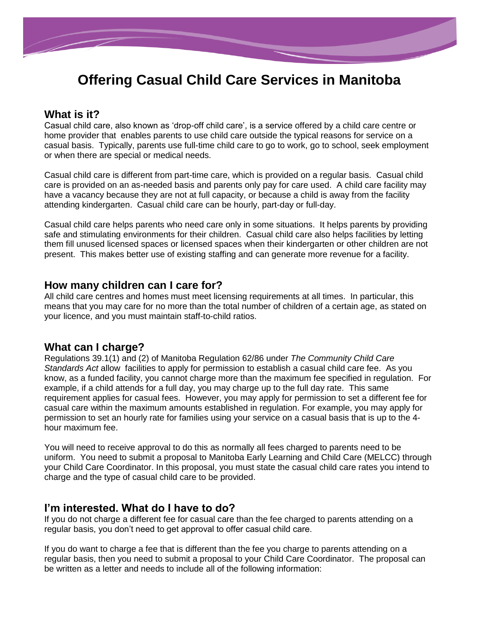

# **Offering Casual Child Care Services in Manitoba**

## **What is it?**

Casual child care, also known as 'drop-off child care', is a service offered by a child care centre or home provider that enables parents to use child care outside the typical reasons for service on a casual basis. Typically, parents use full-time child care to go to work, go to school, seek employment or when there are special or medical needs.

Casual child care is different from part-time care, which is provided on a regular basis. Casual child care is provided on an as-needed basis and parents only pay for care used. A child care facility may have a vacancy because they are not at full capacity, or because a child is away from the facility attending kindergarten. Casual child care can be hourly, part-day or full-day.

Casual child care helps parents who need care only in some situations. It helps parents by providing safe and stimulating environments for their children. Casual child care also helps facilities by letting them fill unused licensed spaces or licensed spaces when their kindergarten or other children are not present. This makes better use of existing staffing and can generate more revenue for a facility.

#### **How many children can I care for?**

All child care centres and homes must meet licensing requirements at all times. In particular, this means that you may care for no more than the total number of children of a certain age, as stated on your licence, and you must maintain staff-to-child ratios.

#### **What can I charge?**

Regulations 39.1(1) and (2) of Manitoba Regulation 62/86 under *The Community Child Care Standards Act* allow facilities to apply for permission to establish a casual child care fee. As you know, as a funded facility, you cannot charge more than the maximum fee specified in regulation. For example, if a child attends for a full day, you may charge up to the full day rate. This same requirement applies for casual fees. However, you may apply for permission to set a different fee for casual care within the maximum amounts established in regulation. For example, you may apply for permission to set an hourly rate for families using your service on a casual basis that is up to the 4 hour maximum fee.

You will need to receive approval to do this as normally all fees charged to parents need to be uniform. You need to submit a proposal to Manitoba Early Learning and Child Care (MELCC) through your Child Care Coordinator. In this proposal, you must state the casual child care rates you intend to charge and the type of casual child care to be provided.

#### **I'm interested. What do I have to do?**

If you do not charge a different fee for casual care than the fee charged to parents attending on a regular basis, you don't need to get approval to offer casual child care.

If you do want to charge a fee that is different than the fee you charge to parents attending on a regular basis, then you need to submit a proposal to your Child Care Coordinator. The proposal can be written as a letter and needs to include all of the following information: